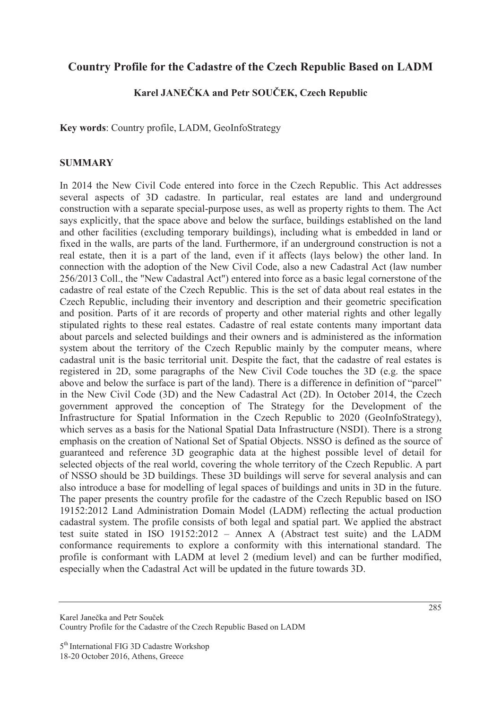## **Country Profile for the Cadastre of the Czech Republic Based on LADM**

## **Karel JANEýKA and Petr SOUýEK, Czech Republic**

**Key words**: Country profile, LADM, GeoInfoStrategy

## **SUMMARY**

In 2014 the New Civil Code entered into force in the Czech Republic. This Act addresses several aspects of 3D cadastre. In particular, real estates are land and underground construction with a separate special-purpose uses, as well as property rights to them. The Act says explicitly, that the space above and below the surface, buildings established on the land and other facilities (excluding temporary buildings), including what is embedded in land or fixed in the walls, are parts of the land. Furthermore, if an underground construction is not a real estate, then it is a part of the land, even if it affects (lays below) the other land. In connection with the adoption of the New Civil Code, also a new Cadastral Act (law number 256/2013 Coll., the "New Cadastral Act") entered into force as a basic legal cornerstone of the cadastre of real estate of the Czech Republic. This is the set of data about real estates in the Czech Republic, including their inventory and description and their geometric specification and position. Parts of it are records of property and other material rights and other legally stipulated rights to these real estates. Cadastre of real estate contents many important data about parcels and selected buildings and their owners and is administered as the information system about the territory of the Czech Republic mainly by the computer means, where cadastral unit is the basic territorial unit. Despite the fact, that the cadastre of real estates is registered in 2D, some paragraphs of the New Civil Code touches the 3D (e.g. the space above and below the surface is part of the land). There is a difference in definition of "parcel" in the New Civil Code (3D) and the New Cadastral Act (2D). In October 2014, the Czech government approved the conception of The Strategy for the Development of the Infrastructure for Spatial Information in the Czech Republic to 2020 (GeoInfoStrategy), which serves as a basis for the National Spatial Data Infrastructure (NSDI). There is a strong emphasis on the creation of National Set of Spatial Objects. NSSO is defined as the source of guaranteed and reference 3D geographic data at the highest possible level of detail for selected objects of the real world, covering the whole territory of the Czech Republic. A part of NSSO should be 3D buildings. These 3D buildings will serve for several analysis and can also introduce a base for modelling of legal spaces of buildings and units in 3D in the future. The paper presents the country profile for the cadastre of the Czech Republic based on ISO 19152:2012 Land Administration Domain Model (LADM) reflecting the actual production cadastral system. The profile consists of both legal and spatial part. We applied the abstract test suite stated in ISO 19152:2012 – Annex A (Abstract test suite) and the LADM conformance requirements to explore a conformity with this international standard. The profile is conformant with LADM at level 2 (medium level) and can be further modified, especially when the Cadastral Act will be updated in the future towards 3D.

Karel Janečka and Petr Souček Country Profile for the Cadastre of the Czech Republic Based on LADM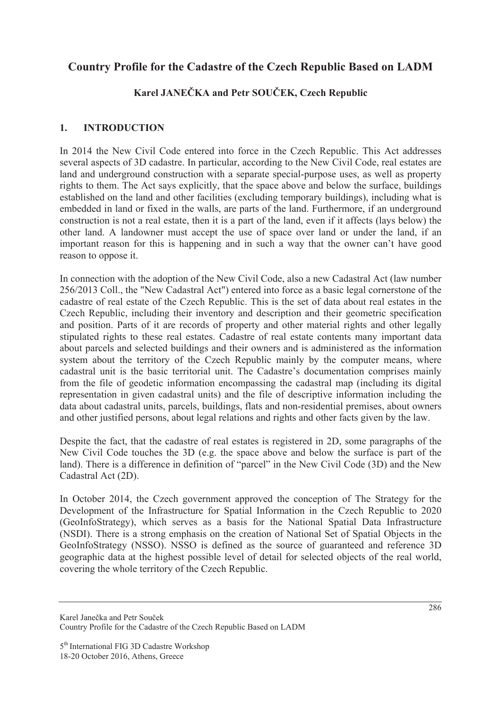## **Country Profile for the Cadastre of the Czech Republic Based on LADM**

# **Karel JANEýKA and Petr SOUýEK, Czech Republic**

## **1. INTRODUCTION**

In 2014 the New Civil Code entered into force in the Czech Republic. This Act addresses several aspects of 3D cadastre. In particular, according to the New Civil Code, real estates are land and underground construction with a separate special-purpose uses, as well as property rights to them. The Act says explicitly, that the space above and below the surface, buildings established on the land and other facilities (excluding temporary buildings), including what is embedded in land or fixed in the walls, are parts of the land. Furthermore, if an underground construction is not a real estate, then it is a part of the land, even if it affects (lays below) the other land. A landowner must accept the use of space over land or under the land, if an important reason for this is happening and in such a way that the owner can't have good reason to oppose it.

In connection with the adoption of the New Civil Code, also a new Cadastral Act (law number 256/2013 Coll., the "New Cadastral Act") entered into force as a basic legal cornerstone of the cadastre of real estate of the Czech Republic. This is the set of data about real estates in the Czech Republic, including their inventory and description and their geometric specification and position. Parts of it are records of property and other material rights and other legally stipulated rights to these real estates. Cadastre of real estate contents many important data about parcels and selected buildings and their owners and is administered as the information system about the territory of the Czech Republic mainly by the computer means, where cadastral unit is the basic territorial unit. The Cadastre's documentation comprises mainly from the file of geodetic information encompassing the cadastral map (including its digital representation in given cadastral units) and the file of descriptive information including the data about cadastral units, parcels, buildings, flats and non-residential premises, about owners and other justified persons, about legal relations and rights and other facts given by the law.

Despite the fact, that the cadastre of real estates is registered in 2D, some paragraphs of the New Civil Code touches the 3D (e.g. the space above and below the surface is part of the land). There is a difference in definition of "parcel" in the New Civil Code (3D) and the New Cadastral Act (2D).

In October 2014, the Czech government approved the conception of The Strategy for the Development of the Infrastructure for Spatial Information in the Czech Republic to 2020 (GeoInfoStrategy), which serves as a basis for the National Spatial Data Infrastructure (NSDI). There is a strong emphasis on the creation of National Set of Spatial Objects in the GeoInfoStrategy (NSSO). NSSO is defined as the source of guaranteed and reference 3D geographic data at the highest possible level of detail for selected objects of the real world, covering the whole territory of the Czech Republic.

Karel Janečka and Petr Souček Country Profile for the Cadastre of the Czech Republic Based on LADM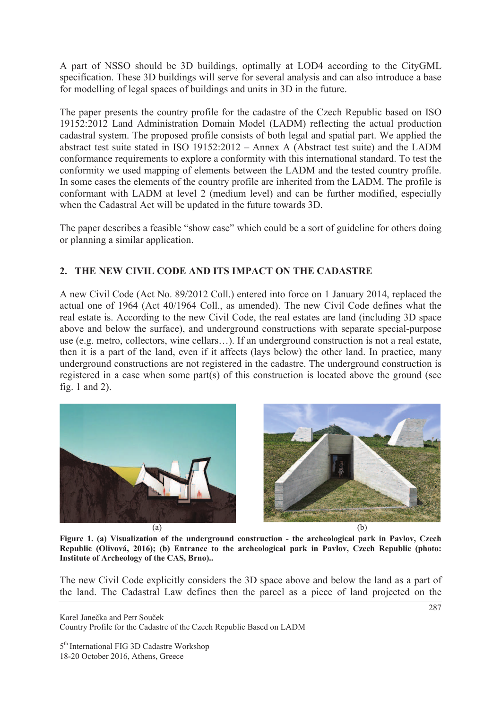A part of NSSO should be 3D buildings, optimally at LOD4 according to the CityGML specification. These 3D buildings will serve for several analysis and can also introduce a base for modelling of legal spaces of buildings and units in 3D in the future.

The paper presents the country profile for the cadastre of the Czech Republic based on ISO 19152:2012 Land Administration Domain Model (LADM) reflecting the actual production cadastral system. The proposed profile consists of both legal and spatial part. We applied the abstract test suite stated in ISO 19152:2012 – Annex A (Abstract test suite) and the LADM conformance requirements to explore a conformity with this international standard. To test the conformity we used mapping of elements between the LADM and the tested country profile. In some cases the elements of the country profile are inherited from the LADM. The profile is conformant with LADM at level 2 (medium level) and can be further modified, especially when the Cadastral Act will be updated in the future towards 3D.

The paper describes a feasible "show case" which could be a sort of guideline for others doing or planning a similar application.

## **2. THE NEW CIVIL CODE AND ITS IMPACT ON THE CADASTRE**

A new Civil Code (Act No. 89/2012 Coll.) entered into force on 1 January 2014, replaced the actual one of 1964 (Act 40/1964 Coll., as amended). The new Civil Code defines what the real estate is. According to the new Civil Code, the real estates are land (including 3D space above and below the surface), and underground constructions with separate special-purpose use (e.g. metro, collectors, wine cellars…). If an underground construction is not a real estate, then it is a part of the land, even if it affects (lays below) the other land. In practice, many underground constructions are not registered in the cadastre. The underground construction is registered in a case when some part(s) of this construction is located above the ground (see fig. 1 and 2).





**Figure 1. (a) Visualization of the underground construction - the archeological park in Pavlov, Czech Republic (Olivová, 2016); (b) Entrance to the archeological park in Pavlov, Czech Republic (photo: Institute of Archeology of the CAS, Brno)..** 

The new Civil Code explicitly considers the 3D space above and below the land as a part of the land. The Cadastral Law defines then the parcel as a piece of land projected on the

Karel Janečka and Petr Souček Country Profile for the Cadastre of the Czech Republic Based on LADM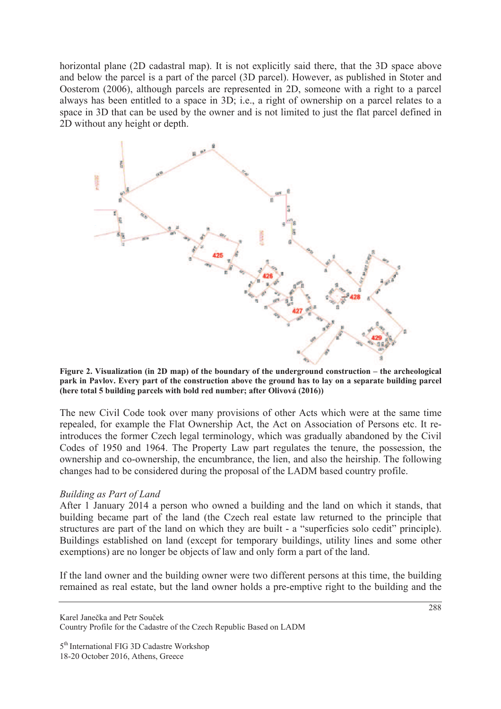horizontal plane (2D cadastral map). It is not explicitly said there, that the 3D space above and below the parcel is a part of the parcel (3D parcel). However, as published in Stoter and Oosterom (2006), although parcels are represented in 2D, someone with a right to a parcel always has been entitled to a space in 3D; i.e., a right of ownership on a parcel relates to a space in 3D that can be used by the owner and is not limited to just the flat parcel defined in 2D without any height or depth.



**Figure 2. Visualization (in 2D map) of the boundary of the underground construction – the archeological park in Pavlov. Every part of the construction above the ground has to lay on a separate building parcel (here total 5 building parcels with bold red number; after Olivová (2016))** 

The new Civil Code took over many provisions of other Acts which were at the same time repealed, for example the Flat Ownership Act, the Act on Association of Persons etc. It reintroduces the former Czech legal terminology, which was gradually abandoned by the Civil Codes of 1950 and 1964. The Property Law part regulates the tenure, the possession, the ownership and co-ownership, the encumbrance, the lien, and also the heirship. The following changes had to be considered during the proposal of the LADM based country profile.

#### *Building as Part of Land*

After 1 January 2014 a person who owned a building and the land on which it stands, that building became part of the land (the Czech real estate law returned to the principle that structures are part of the land on which they are built - a "superficies solo cedit" principle). Buildings established on land (except for temporary buildings, utility lines and some other exemptions) are no longer be objects of law and only form a part of the land.

If the land owner and the building owner were two different persons at this time, the building remained as real estate, but the land owner holds a pre-emptive right to the building and the

Karel Janečka and Petr Souček Country Profile for the Cadastre of the Czech Republic Based on LADM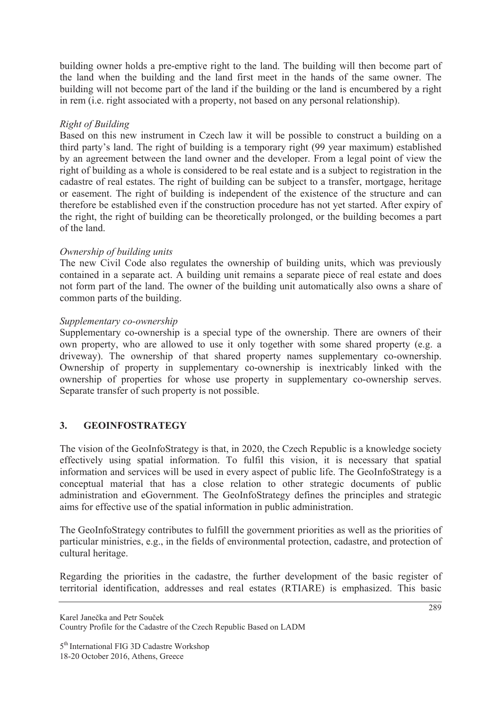building owner holds a pre-emptive right to the land. The building will then become part of the land when the building and the land first meet in the hands of the same owner. The building will not become part of the land if the building or the land is encumbered by a right in rem (i.e. right associated with a property, not based on any personal relationship).

## *Right of Building*

Based on this new instrument in Czech law it will be possible to construct a building on a third party's land. The right of building is a temporary right (99 year maximum) established by an agreement between the land owner and the developer. From a legal point of view the right of building as a whole is considered to be real estate and is a subject to registration in the cadastre of real estates. The right of building can be subject to a transfer, mortgage, heritage or easement. The right of building is independent of the existence of the structure and can therefore be established even if the construction procedure has not yet started. After expiry of the right, the right of building can be theoretically prolonged, or the building becomes a part of the land.

#### *Ownership of building units*

The new Civil Code also regulates the ownership of building units, which was previously contained in a separate act. A building unit remains a separate piece of real estate and does not form part of the land. The owner of the building unit automatically also owns a share of common parts of the building.

#### *Supplementary co-ownership*

Supplementary co-ownership is a special type of the ownership. There are owners of their own property, who are allowed to use it only together with some shared property (e.g. a driveway). The ownership of that shared property names supplementary co-ownership. Ownership of property in supplementary co-ownership is inextricably linked with the ownership of properties for whose use property in supplementary co-ownership serves. Separate transfer of such property is not possible.

## **3. GEOINFOSTRATEGY**

The vision of the GeoInfoStrategy is that, in 2020, the Czech Republic is a knowledge society effectively using spatial information. To fulfil this vision, it is necessary that spatial information and services will be used in every aspect of public life. The GeoInfoStrategy is a conceptual material that has a close relation to other strategic documents of public administration and eGovernment. The GeoInfoStrategy defines the principles and strategic aims for effective use of the spatial information in public administration.

The GeoInfoStrategy contributes to fulfill the government priorities as well as the priorities of particular ministries, e.g., in the fields of environmental protection, cadastre, and protection of cultural heritage.

Regarding the priorities in the cadastre, the further development of the basic register of territorial identification, addresses and real estates (RTIARE) is emphasized. This basic

Karel Janečka and Petr Souček Country Profile for the Cadastre of the Czech Republic Based on LADM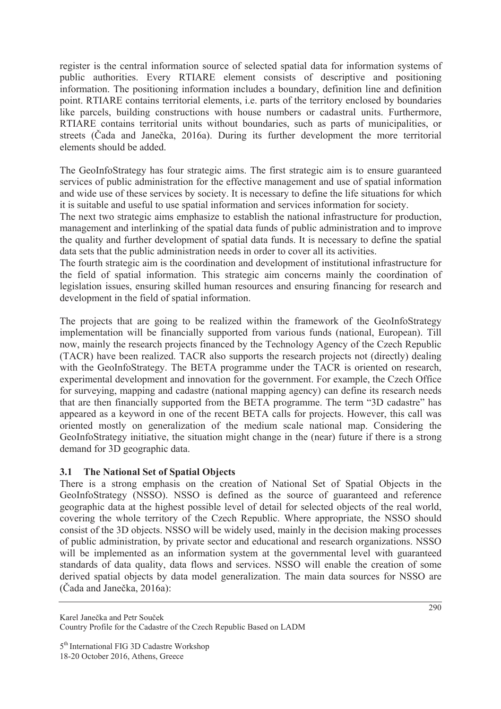register is the central information source of selected spatial data for information systems of public authorities. Every RTIARE element consists of descriptive and positioning information. The positioning information includes a boundary, definition line and definition point. RTIARE contains territorial elements, i.e. parts of the territory enclosed by boundaries like parcels, building constructions with house numbers or cadastral units. Furthermore, RTIARE contains territorial units without boundaries, such as parts of municipalities, or streets (Čada and Janečka, 2016a). During its further development the more territorial elements should be added.

The GeoInfoStrategy has four strategic aims. The first strategic aim is to ensure guaranteed services of public administration for the effective management and use of spatial information and wide use of these services by society. It is necessary to define the life situations for which it is suitable and useful to use spatial information and services information for society.

The next two strategic aims emphasize to establish the national infrastructure for production, management and interlinking of the spatial data funds of public administration and to improve the quality and further development of spatial data funds. It is necessary to define the spatial data sets that the public administration needs in order to cover all its activities.

The fourth strategic aim is the coordination and development of institutional infrastructure for the field of spatial information. This strategic aim concerns mainly the coordination of legislation issues, ensuring skilled human resources and ensuring financing for research and development in the field of spatial information.

The projects that are going to be realized within the framework of the GeoInfoStrategy implementation will be financially supported from various funds (national, European). Till now, mainly the research projects financed by the Technology Agency of the Czech Republic (TACR) have been realized. TACR also supports the research projects not (directly) dealing with the GeoInfoStrategy. The BETA programme under the TACR is oriented on research, experimental development and innovation for the government. For example, the Czech Office for surveying, mapping and cadastre (national mapping agency) can define its research needs that are then financially supported from the BETA programme. The term "3D cadastre" has appeared as a keyword in one of the recent BETA calls for projects. However, this call was oriented mostly on generalization of the medium scale national map. Considering the GeoInfoStrategy initiative, the situation might change in the (near) future if there is a strong demand for 3D geographic data.

## **3.1 The National Set of Spatial Objects**

There is a strong emphasis on the creation of National Set of Spatial Objects in the GeoInfoStrategy (NSSO). NSSO is defined as the source of guaranteed and reference geographic data at the highest possible level of detail for selected objects of the real world, covering the whole territory of the Czech Republic. Where appropriate, the NSSO should consist of the 3D objects. NSSO will be widely used, mainly in the decision making processes of public administration, by private sector and educational and research organizations. NSSO will be implemented as an information system at the governmental level with guaranteed standards of data quality, data flows and services. NSSO will enable the creation of some derived spatial objects by data model generalization. The main data sources for NSSO are  $(\check{C}$ ada and Janečka, 2016a):

Karel Janečka and Petr Souček Country Profile for the Cadastre of the Czech Republic Based on LADM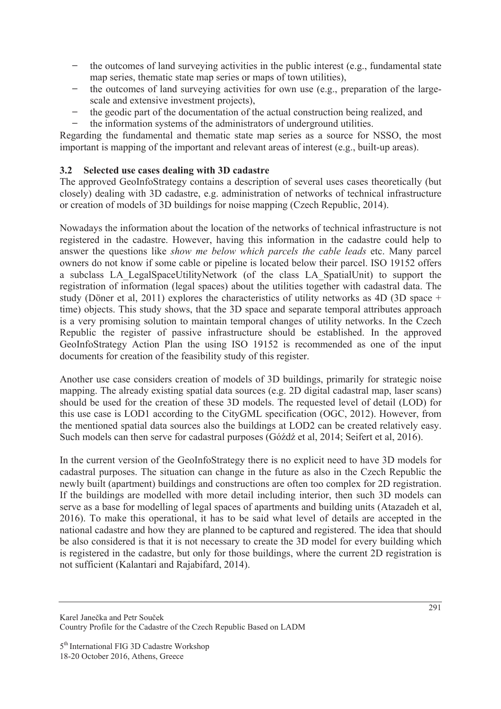- ࡳ the outcomes of land surveying activities in the public interest (e.g., fundamental state map series, thematic state map series or maps of town utilities),
- the outcomes of land surveying activities for own use (e.g., preparation of the largescale and extensive investment projects),
- the geodic part of the documentation of the actual construction being realized, and
- ࡳ the information systems of the administrators of underground utilities.

Regarding the fundamental and thematic state map series as a source for NSSO, the most important is mapping of the important and relevant areas of interest (e.g., built-up areas).

## **3.2 Selected use cases dealing with 3D cadastre**

The approved GeoInfoStrategy contains a description of several uses cases theoretically (but closely) dealing with 3D cadastre, e.g. administration of networks of technical infrastructure or creation of models of 3D buildings for noise mapping (Czech Republic, 2014).

Nowadays the information about the location of the networks of technical infrastructure is not registered in the cadastre. However, having this information in the cadastre could help to answer the questions like *show me below which parcels the cable leads* etc. Many parcel owners do not know if some cable or pipeline is located below their parcel. ISO 19152 offers a subclass LA\_LegalSpaceUtilityNetwork (of the class LA\_SpatialUnit) to support the registration of information (legal spaces) about the utilities together with cadastral data. The study (Döner et al, 2011) explores the characteristics of utility networks as 4D (3D space + time) objects. This study shows, that the 3D space and separate temporal attributes approach is a very promising solution to maintain temporal changes of utility networks. In the Czech Republic the register of passive infrastructure should be established. In the approved GeoInfoStrategy Action Plan the using ISO 19152 is recommended as one of the input documents for creation of the feasibility study of this register.

Another use case considers creation of models of 3D buildings, primarily for strategic noise mapping. The already existing spatial data sources (e.g. 2D digital cadastral map, laser scans) should be used for the creation of these 3D models. The requested level of detail (LOD) for this use case is LOD1 according to the CityGML specification (OGC, 2012). However, from the mentioned spatial data sources also the buildings at LOD2 can be created relatively easy. Such models can then serve for cadastral purposes (Góźdź et al, 2014; Seifert et al, 2016).

In the current version of the GeoInfoStrategy there is no explicit need to have 3D models for cadastral purposes. The situation can change in the future as also in the Czech Republic the newly built (apartment) buildings and constructions are often too complex for 2D registration. If the buildings are modelled with more detail including interior, then such 3D models can serve as a base for modelling of legal spaces of apartments and building units (Atazadeh et al, 2016). To make this operational, it has to be said what level of details are accepted in the national cadastre and how they are planned to be captured and registered. The idea that should be also considered is that it is not necessary to create the 3D model for every building which is registered in the cadastre, but only for those buildings, where the current 2D registration is not sufficient (Kalantari and Rajabifard, 2014).

Karel Janečka and Petr Souček Country Profile for the Cadastre of the Czech Republic Based on LADM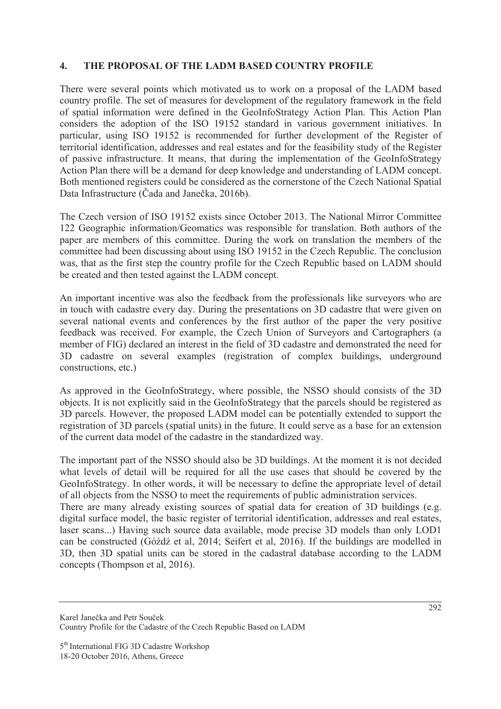## **4. THE PROPOSAL OF THE LADM BASED COUNTRY PROFILE**

There were several points which motivated us to work on a proposal of the LADM based country profile. The set of measures for development of the regulatory framework in the field of spatial information were defined in the GeoInfoStrategy Action Plan. This Action Plan considers the adoption of the ISO 19152 standard in various government initiatives. In particular, using ISO 19152 is recommended for further development of the Register of territorial identification, addresses and real estates and for the feasibility study of the Register of passive infrastructure. It means, that during the implementation of the GeoInfoStrategy Action Plan there will be a demand for deep knowledge and understanding of LADM concept. Both mentioned registers could be considered as the cornerstone of the Czech National Spatial Data Infrastructure (Čada and Janečka, 2016b).

The Czech version of ISO 19152 exists since October 2013. The National Mirror Committee 122 Geographic information/Geomatics was responsible for translation. Both authors of the paper are members of this committee. During the work on translation the members of the committee had been discussing about using ISO 19152 in the Czech Republic. The conclusion was, that as the first step the country profile for the Czech Republic based on LADM should be created and then tested against the LADM concept.

An important incentive was also the feedback from the professionals like surveyors who are in touch with cadastre every day. During the presentations on 3D cadastre that were given on several national events and conferences by the first author of the paper the very positive feedback was received. For example, the Czech Union of Surveyors and Cartographers (a member of FIG) declared an interest in the field of 3D cadastre and demonstrated the need for 3D cadastre on several examples (registration of complex buildings, underground constructions, etc.)

As approved in the GeoInfoStrategy, where possible, the NSSO should consists of the 3D objects. It is not explicitly said in the GeoInfoStrategy that the parcels should be registered as 3D parcels. However, the proposed LADM model can be potentially extended to support the registration of 3D parcels (spatial units) in the future. It could serve as a base for an extension of the current data model of the cadastre in the standardized way.

The important part of the NSSO should also be 3D buildings. At the moment it is not decided what levels of detail will be required for all the use cases that should be covered by the GeoInfoStrategy. In other words, it will be necessary to define the appropriate level of detail of all objects from the NSSO to meet the requirements of public administration services.

There are many already existing sources of spatial data for creation of 3D buildings (e.g. digital surface model, the basic register of territorial identification, addresses and real estates, laser scans...) Having such source data available, mode precise 3D models than only LOD1 can be constructed (Góźdź et al, 2014; Seifert et al, 2016). If the buildings are modelled in 3D, then 3D spatial units can be stored in the cadastral database according to the LADM concepts (Thompson et al, 2016).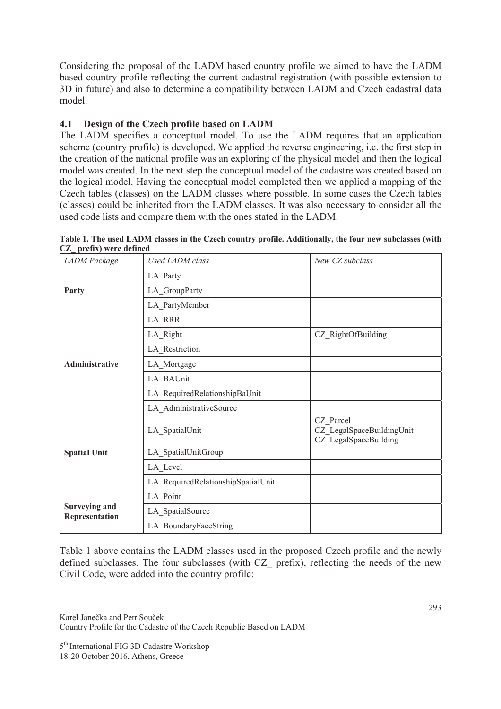Considering the proposal of the LADM based country profile we aimed to have the LADM based country profile reflecting the current cadastral registration (with possible extension to 3D in future) and also to determine a compatibility between LADM and Czech cadastral data model.

## **4.1 Design of the Czech profile based on LADM**

The LADM specifies a conceptual model. To use the LADM requires that an application scheme (country profile) is developed. We applied the reverse engineering, i.e. the first step in the creation of the national profile was an exploring of the physical model and then the logical model was created. In the next step the conceptual model of the cadastre was created based on the logical model. Having the conceptual model completed then we applied a mapping of the Czech tables (classes) on the LADM classes where possible. In some cases the Czech tables (classes) could be inherited from the LADM classes. It was also necessary to consider all the used code lists and compare them with the ones stated in the LADM.

| <b>LADM</b> Package                    | Used LADM class                    | New CZ subclass                                                 |
|----------------------------------------|------------------------------------|-----------------------------------------------------------------|
| Party                                  | LA_Party                           |                                                                 |
|                                        | LA GroupParty                      |                                                                 |
|                                        | LA_PartyMember                     |                                                                 |
|                                        | LA RRR                             |                                                                 |
| Administrative                         | LA_Right                           | CZ_RightOfBuilding                                              |
|                                        | LA_Restriction                     |                                                                 |
|                                        | LA_Mortgage                        |                                                                 |
|                                        | LA BAUnit                          |                                                                 |
|                                        | LA_RequiredRelationshipBaUnit      |                                                                 |
|                                        | LA AdministrativeSource            |                                                                 |
|                                        | LA SpatialUnit                     | CZ Parcel<br>CZ LegalSpaceBuildingUnit<br>CZ_LegalSpaceBuilding |
| <b>Spatial Unit</b>                    | LA_SpatialUnitGroup                |                                                                 |
|                                        | LA Level                           |                                                                 |
|                                        | LA_RequiredRelationshipSpatialUnit |                                                                 |
|                                        | LA_Point                           |                                                                 |
| <b>Surveying and</b><br>Representation | LA_SpatialSource                   |                                                                 |
|                                        | LA BoundaryFaceString              |                                                                 |

**Table 1. The used LADM classes in the Czech country profile. Additionally, the four new subclasses (with CZ\_ prefix) were defined** 

Table 1 above contains the LADM classes used in the proposed Czech profile and the newly defined subclasses. The four subclasses (with CZ\_ prefix), reflecting the needs of the new Civil Code, were added into the country profile:

Karel Janečka and Petr Souček

Country Profile for the Cadastre of the Czech Republic Based on LADM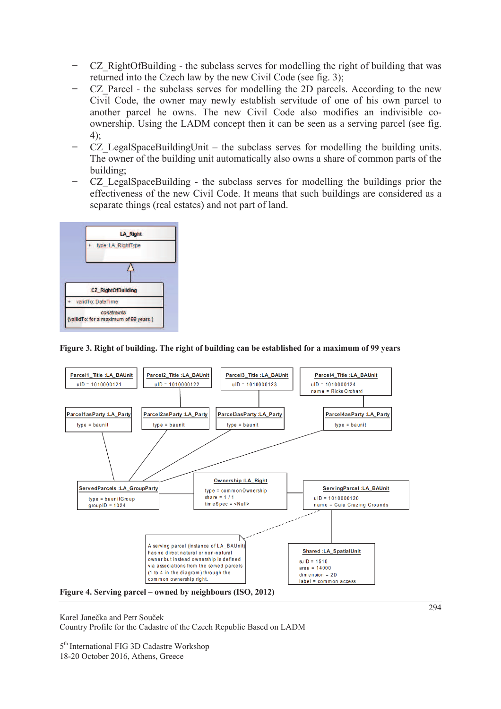- CZ RightOfBuilding the subclass serves for modelling the right of building that was returned into the Czech law by the new Civil Code (see fig. 3);
- CZ Parcel the subclass serves for modelling the 2D parcels. According to the new Civil Code, the owner may newly establish servitude of one of his own parcel to another parcel he owns. The new Civil Code also modifies an indivisible coownership. Using the LADM concept then it can be seen as a serving parcel (see fig. 4);
- CZ LegalSpaceBuildingUnit the subclass serves for modelling the building units. The owner of the building unit automatically also owns a share of common parts of the building;
- ࡳ CZ\_LegalSpaceBuilding the subclass serves for modelling the buildings prior the effectiveness of the new Civil Code. It means that such buildings are considered as a separate things (real estates) and not part of land.



#### **Figure 3. Right of building. The right of building can be established for a maximum of 99 years**



**Figure 4. Serving parcel – owned by neighbours (ISO, 2012)** 

Karel Janečka and Petr Souček

Country Profile for the Cadastre of the Czech Republic Based on LADM

5<sup>th</sup> International FIG 3D Cadastre Workshop

18-20 October 2016, Athens, Greece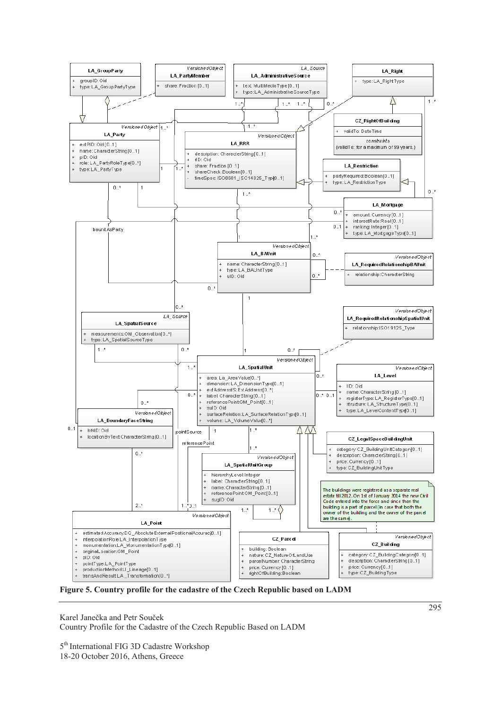

**Figure 5. Country profile for the cadastre of the Czech Republic based on LADM** 

Karel Janečka and Petr Souček Country Profile for the Cadastre of the Czech Republic Based on LADM

5<sup>th</sup> International FIG 3D Cadastre Workshop

18-20 October 2016, Athens, Greece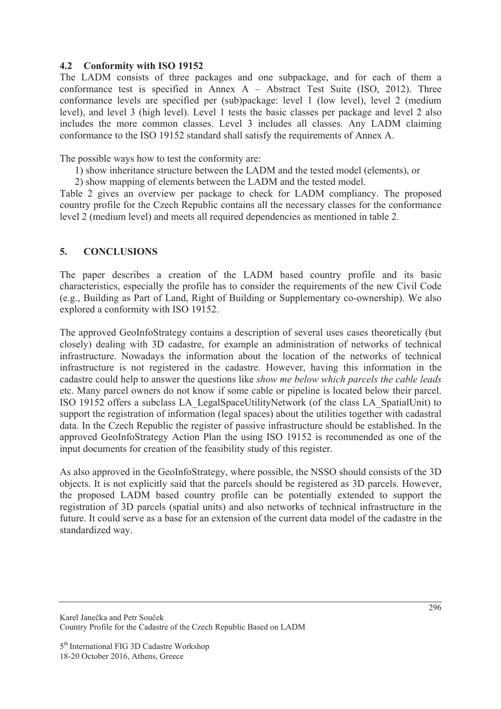#### **4.2 Conformity with ISO 19152**

The LADM consists of three packages and one subpackage, and for each of them a conformance test is specified in Annex A – Abstract Test Suite (ISO, 2012). Three conformance levels are specified per (sub)package: level 1 (low level), level 2 (medium level), and level 3 (high level). Level 1 tests the basic classes per package and level 2 also includes the more common classes. Level 3 includes all classes. Any LADM claiming conformance to the ISO 19152 standard shall satisfy the requirements of Annex A.

The possible ways how to test the conformity are:

- 1) show inheritance structure between the LADM and the tested model (elements), or
- 2) show mapping of elements between the LADM and the tested model.

Table 2 gives an overview per package to check for LADM compliancy. The proposed country profile for the Czech Republic contains all the necessary classes for the conformance level 2 (medium level) and meets all required dependencies as mentioned in table 2.

#### **5. CONCLUSIONS**

The paper describes a creation of the LADM based country profile and its basic characteristics, especially the profile has to consider the requirements of the new Civil Code (e.g., Building as Part of Land, Right of Building or Supplementary co-ownership). We also explored a conformity with ISO 19152.

The approved GeoInfoStrategy contains a description of several uses cases theoretically (but closely) dealing with 3D cadastre, for example an administration of networks of technical infrastructure. Nowadays the information about the location of the networks of technical infrastructure is not registered in the cadastre. However, having this information in the cadastre could help to answer the questions like *show me below which parcels the cable leads* etc. Many parcel owners do not know if some cable or pipeline is located below their parcel. ISO 19152 offers a subclass LA\_LegalSpaceUtilityNetwork (of the class LA\_SpatialUnit) to support the registration of information (legal spaces) about the utilities together with cadastral data. In the Czech Republic the register of passive infrastructure should be established. In the approved GeoInfoStrategy Action Plan the using ISO 19152 is recommended as one of the input documents for creation of the feasibility study of this register.

As also approved in the GeoInfoStrategy, where possible, the NSSO should consists of the 3D objects. It is not explicitly said that the parcels should be registered as 3D parcels. However, the proposed LADM based country profile can be potentially extended to support the registration of 3D parcels (spatial units) and also networks of technical infrastructure in the future. It could serve as a base for an extension of the current data model of the cadastre in the standardized way.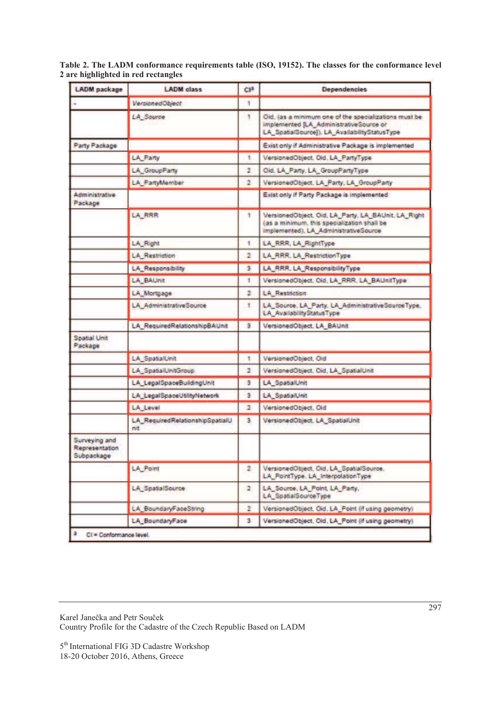**Table 2. The LADM conformance requirements table (ISO, 19152). The classes for the conformance level 2 are highlighted in red rectangles** 

| <b>LADM</b> package                           | <b>LADM</b> class                      | CI <sup>3</sup> | <b>Dependencies</b>                                                                                                                               |
|-----------------------------------------------|----------------------------------------|-----------------|---------------------------------------------------------------------------------------------------------------------------------------------------|
|                                               | VersionedObject                        | ۴               |                                                                                                                                                   |
|                                               | <b>LA_Source</b>                       | ۲               | Oid, (as a minimum one of the specializations must be<br>implemented [LA_AdministrativeSource or<br>LA_SpatialSource]), LA_AvailabilityStatusType |
| Party Package                                 |                                        |                 | Exist only if Administrative Package is implemented                                                                                               |
|                                               | <b>LA</b> Party                        | ۴               | VersionedObject, Oid, LA_PartyType                                                                                                                |
|                                               | LA_GroupParty                          | 2               | Oid, LA_Party, LA_GroupPartyType                                                                                                                  |
|                                               | <b>LA_PartyMember</b>                  | 2               | VersionedObject, LA_Party, LA_GroupParty                                                                                                          |
| Administrative<br>Package                     |                                        |                 | Exist only if Party Package is implemented                                                                                                        |
|                                               | LA_RRR                                 | 1.              | VersionedObject, Oid, LA_Party, LA_BAUnit, LA_Right<br>(as a minimum, this specialization shall be<br>implemented), LA_AdministrativeSource       |
|                                               | <b>LA_Right</b>                        | ۲               | LA_RRR, LA_RightType                                                                                                                              |
|                                               | <b>LA Restriction</b>                  | 2               | LA_RRR, LA_RestrictionType                                                                                                                        |
|                                               | <b>LA_Responsibility</b>               | 3               | LA_RRR, LA_ResponsibilityType                                                                                                                     |
|                                               | <b>LA BAUnit</b>                       | 1               | VersionedObject, Oid, LA_RRR, LA_BAUnitType                                                                                                       |
|                                               | LA Mortgage                            | ž.              | <b>LA_Restriction</b>                                                                                                                             |
|                                               | <b>LA</b> AdministrativeSource         | ۴               | LA_Source, LA_Party, LA_AdministrativeSourceType,<br><b>LA AvailabilityStatusType</b>                                                             |
|                                               | LA_RequiredRelationshipBAUnit          | з               | VersionedObject, LA_BAUnit                                                                                                                        |
| <b>Spatial Unit</b><br>Package                |                                        |                 |                                                                                                                                                   |
|                                               | LA SpatialUnit                         | ۴               | VersionedObject, Oid                                                                                                                              |
|                                               | LA SpatialUnitGroup                    | 2               | VersionedObject, Oid, LA_SpatialUnit                                                                                                              |
|                                               | LA_LegalSpaceBuildingUnit              | з               | <b>LA SpatialUnit</b>                                                                                                                             |
|                                               | <b>LA LegalSpaceUtilityNetwork</b>     | з               | <b>LA SpatialUnit</b>                                                                                                                             |
|                                               | <b>LA Level</b>                        | 2               | VersionedObject, Oid                                                                                                                              |
|                                               | LA_RequiredRelationshipSpatialU<br>nit | 3               | VersionedObject, LA_SpatialUnit                                                                                                                   |
| Surveying and<br>Representation<br>Subpackage |                                        |                 |                                                                                                                                                   |
|                                               | <b>LA</b> Point                        | 2               | VersionedObject, Oid, LA SpatialSource,<br>LA_PointType, LA_InterpolationType                                                                     |
|                                               | LA_SpatialSource                       | 2               | LA_Source, LA_Point, LA_Party,<br><b>LA SpatialSourceType</b>                                                                                     |
|                                               | LA BoundaryFaceString                  | $\overline{2}$  | VersionedObject, Oid, LA_Point (if using geometry)                                                                                                |
|                                               | <b>LA BoundaryFace</b>                 | 3.              | VersionedObject, Oid, LA Point (if using geometry)                                                                                                |

Karel Janečka and Petr Souček Country Profile for the Cadastre of the Czech Republic Based on LADM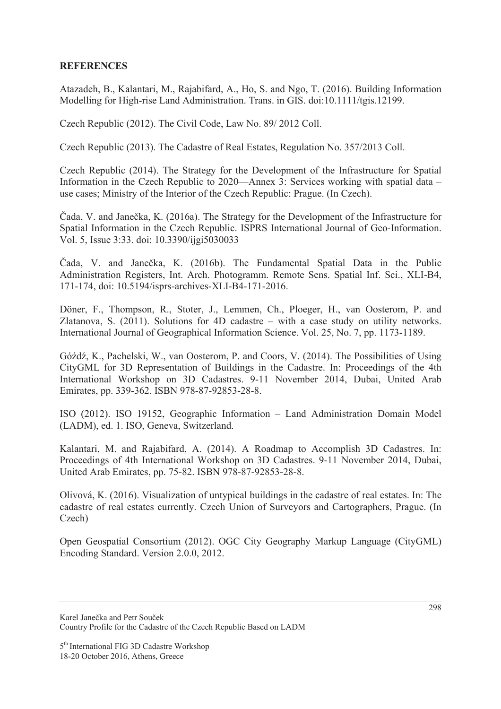## **REFERENCES**

Atazadeh, B., Kalantari, M., Rajabifard, A., Ho, S. and Ngo, T. (2016). Building Information Modelling for High-rise Land Administration. Trans. in GIS. doi:10.1111/tgis.12199.

Czech Republic (2012). The Civil Code, Law No. 89/ 2012 Coll.

Czech Republic (2013). The Cadastre of Real Estates, Regulation No. 357/2013 Coll.

Czech Republic (2014). The Strategy for the Development of the Infrastructure for Spatial Information in the Czech Republic to 2020—Annex 3: Services working with spatial data – use cases; Ministry of the Interior of the Czech Republic: Prague. (In Czech).

Čada, V. and Janečka, K. (2016a). The Strategy for the Development of the Infrastructure for Spatial Information in the Czech Republic. ISPRS International Journal of Geo-Information. Vol. 5, Issue 3:33. doi: 10.3390/ijgi5030033

Čada, V. and Janečka, K. (2016b). The Fundamental Spatial Data in the Public Administration Registers, Int. Arch. Photogramm. Remote Sens. Spatial Inf. Sci., XLI-B4, 171-174, doi: 10.5194/isprs-archives-XLI-B4-171-2016.

Döner, F., Thompson, R., Stoter, J., Lemmen, Ch., Ploeger, H., van Oosterom, P. and Zlatanova, S. (2011). Solutions for 4D cadastre – with a case study on utility networks. International Journal of Geographical Information Science. Vol. 25, No. 7, pp. 1173-1189.

Góźdź, K., Pachelski, W., van Oosterom, P. and Coors, V. (2014). The Possibilities of Using CityGML for 3D Representation of Buildings in the Cadastre. In: Proceedings of the 4th International Workshop on 3D Cadastres. 9-11 November 2014, Dubai, United Arab Emirates, pp. 339-362. ISBN 978-87-92853-28-8.

ISO (2012). ISO 19152, Geographic Information – Land Administration Domain Model (LADM), ed. 1. ISO, Geneva, Switzerland.

Kalantari, M. and Rajabifard, A. (2014). A Roadmap to Accomplish 3D Cadastres. In: Proceedings of 4th International Workshop on 3D Cadastres. 9-11 November 2014, Dubai, United Arab Emirates, pp. 75-82. ISBN 978-87-92853-28-8.

Olivová, K. (2016). Visualization of untypical buildings in the cadastre of real estates. In: The cadastre of real estates currently. Czech Union of Surveyors and Cartographers, Prague. (In Czech)

Open Geospatial Consortium (2012). OGC City Geography Markup Language (CityGML) Encoding Standard. Version 2.0.0, 2012.

Karel Janečka and Petr Souček Country Profile for the Cadastre of the Czech Republic Based on LADM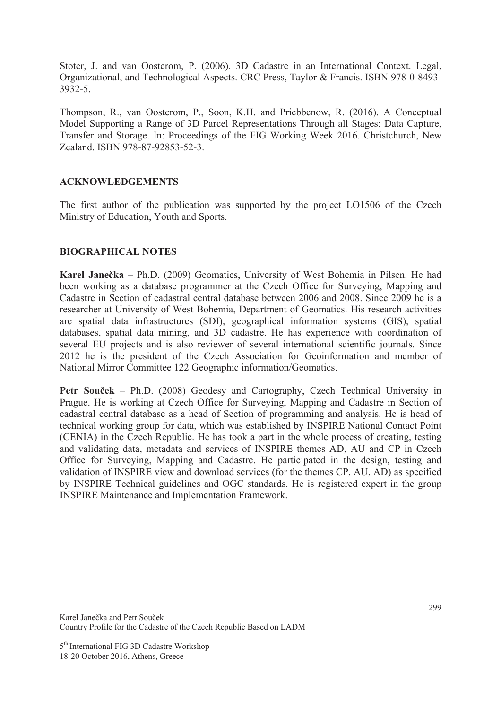Stoter, J. and van Oosterom, P. (2006). 3D Cadastre in an International Context. Legal, Organizational, and Technological Aspects. CRC Press, Taylor & Francis. ISBN 978-0-8493- 3932-5.

Thompson, R., van Oosterom, P., Soon, K.H. and Priebbenow, R. (2016). A Conceptual Model Supporting a Range of 3D Parcel Representations Through all Stages: Data Capture, Transfer and Storage. In: Proceedings of the FIG Working Week 2016. Christchurch, New Zealand. ISBN 978-87-92853-52-3.

## **ACKNOWLEDGEMENTS**

The first author of the publication was supported by the project LO1506 of the Czech Ministry of Education, Youth and Sports.

## **BIOGRAPHICAL NOTES**

**Karel Janeþka** – Ph.D. (2009) Geomatics, University of West Bohemia in Pilsen. He had been working as a database programmer at the Czech Office for Surveying, Mapping and Cadastre in Section of cadastral central database between 2006 and 2008. Since 2009 he is a researcher at University of West Bohemia, Department of Geomatics. His research activities are spatial data infrastructures (SDI), geographical information systems (GIS), spatial databases, spatial data mining, and 3D cadastre. He has experience with coordination of several EU projects and is also reviewer of several international scientific journals. Since 2012 he is the president of the Czech Association for Geoinformation and member of National Mirror Committee 122 Geographic information/Geomatics.

**Petr Souček** – Ph.D. (2008) Geodesy and Cartography, Czech Technical University in Prague. He is working at Czech Office for Surveying, Mapping and Cadastre in Section of cadastral central database as a head of Section of programming and analysis. He is head of technical working group for data, which was established by INSPIRE National Contact Point (CENIA) in the Czech Republic. He has took a part in the whole process of creating, testing and validating data, metadata and services of INSPIRE themes AD, AU and CP in Czech Office for Surveying, Mapping and Cadastre. He participated in the design, testing and validation of INSPIRE view and download services (for the themes CP, AU, AD) as specified by INSPIRE Technical guidelines and OGC standards. He is registered expert in the group INSPIRE Maintenance and Implementation Framework.